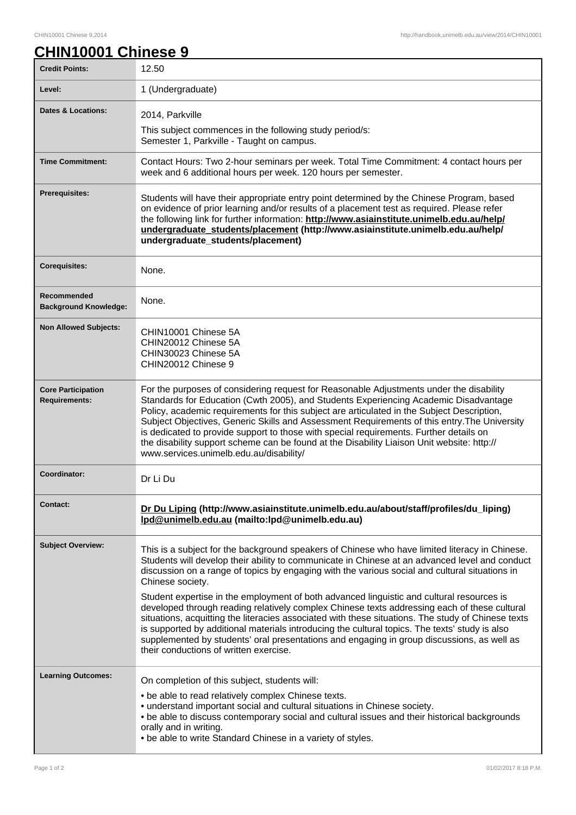## **CHIN10001 Chinese 9**

| <b>Credit Points:</b>                             | 12.50                                                                                                                                                                                                                                                                                                                                                                                                                                                                                                                                                                                                                                                                                                                                                                                                                                                               |
|---------------------------------------------------|---------------------------------------------------------------------------------------------------------------------------------------------------------------------------------------------------------------------------------------------------------------------------------------------------------------------------------------------------------------------------------------------------------------------------------------------------------------------------------------------------------------------------------------------------------------------------------------------------------------------------------------------------------------------------------------------------------------------------------------------------------------------------------------------------------------------------------------------------------------------|
| Level:                                            | 1 (Undergraduate)                                                                                                                                                                                                                                                                                                                                                                                                                                                                                                                                                                                                                                                                                                                                                                                                                                                   |
| <b>Dates &amp; Locations:</b>                     | 2014, Parkville<br>This subject commences in the following study period/s:<br>Semester 1, Parkville - Taught on campus.                                                                                                                                                                                                                                                                                                                                                                                                                                                                                                                                                                                                                                                                                                                                             |
| <b>Time Commitment:</b>                           | Contact Hours: Two 2-hour seminars per week. Total Time Commitment: 4 contact hours per<br>week and 6 additional hours per week. 120 hours per semester.                                                                                                                                                                                                                                                                                                                                                                                                                                                                                                                                                                                                                                                                                                            |
| <b>Prerequisites:</b>                             | Students will have their appropriate entry point determined by the Chinese Program, based<br>on evidence of prior learning and/or results of a placement test as required. Please refer<br>the following link for further information: http://www.asiainstitute.unimelb.edu.au/help/<br>undergraduate_students/placement (http://www.asiainstitute.unimelb.edu.au/help/<br>undergraduate_students/placement)                                                                                                                                                                                                                                                                                                                                                                                                                                                        |
| <b>Corequisites:</b>                              | None.                                                                                                                                                                                                                                                                                                                                                                                                                                                                                                                                                                                                                                                                                                                                                                                                                                                               |
| Recommended<br><b>Background Knowledge:</b>       | None.                                                                                                                                                                                                                                                                                                                                                                                                                                                                                                                                                                                                                                                                                                                                                                                                                                                               |
| <b>Non Allowed Subjects:</b>                      | CHIN10001 Chinese 5A<br>CHIN20012 Chinese 5A<br>CHIN30023 Chinese 5A<br>CHIN20012 Chinese 9                                                                                                                                                                                                                                                                                                                                                                                                                                                                                                                                                                                                                                                                                                                                                                         |
| <b>Core Participation</b><br><b>Requirements:</b> | For the purposes of considering request for Reasonable Adjustments under the disability<br>Standards for Education (Cwth 2005), and Students Experiencing Academic Disadvantage<br>Policy, academic requirements for this subject are articulated in the Subject Description,<br>Subject Objectives, Generic Skills and Assessment Requirements of this entry. The University<br>is dedicated to provide support to those with special requirements. Further details on<br>the disability support scheme can be found at the Disability Liaison Unit website: http://<br>www.services.unimelb.edu.au/disability/                                                                                                                                                                                                                                                    |
| Coordinator:                                      | Dr Li Du                                                                                                                                                                                                                                                                                                                                                                                                                                                                                                                                                                                                                                                                                                                                                                                                                                                            |
| Contact:                                          | Dr Du Liping (http://www.asiainstitute.unimelb.edu.au/about/staff/profiles/du_liping)<br>Ipd@unimelb.edu.au (mailto:lpd@unimelb.edu.au)                                                                                                                                                                                                                                                                                                                                                                                                                                                                                                                                                                                                                                                                                                                             |
| <b>Subject Overview:</b>                          | This is a subject for the background speakers of Chinese who have limited literacy in Chinese.<br>Students will develop their ability to communicate in Chinese at an advanced level and conduct<br>discussion on a range of topics by engaging with the various social and cultural situations in<br>Chinese society.<br>Student expertise in the employment of both advanced linguistic and cultural resources is<br>developed through reading relatively complex Chinese texts addressing each of these cultural<br>situations, acquitting the literacies associated with these situations. The study of Chinese texts<br>is supported by additional materials introducing the cultural topics. The texts' study is also<br>supplemented by students' oral presentations and engaging in group discussions, as well as<br>their conductions of written exercise. |
| <b>Learning Outcomes:</b>                         | On completion of this subject, students will:<br>• be able to read relatively complex Chinese texts.<br>• understand important social and cultural situations in Chinese society.<br>. be able to discuss contemporary social and cultural issues and their historical backgrounds<br>orally and in writing.<br>. be able to write Standard Chinese in a variety of styles.                                                                                                                                                                                                                                                                                                                                                                                                                                                                                         |